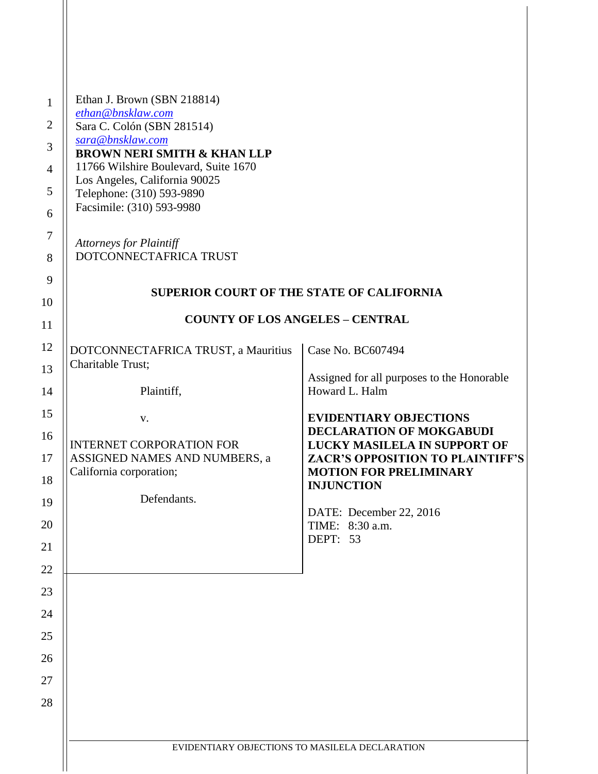| Ethan J. Brown (SBN 218814)<br>$\mathbf{1}$<br>ethan@bnsklaw.com<br>$\overline{c}$<br>Sara C. Colón (SBN 281514)<br>sara@bnsklaw.com<br>3<br><b>BROWN NERI SMITH &amp; KHAN LLP</b><br>11766 Wilshire Boulevard, Suite 1670<br>$\overline{4}$<br>Los Angeles, California 90025<br>5<br>Telephone: (310) 593-9890<br>Facsimile: (310) 593-9980<br>6<br>$\tau$<br><b>Attorneys for Plaintiff</b><br>DOTCONNECTAFRICA TRUST<br>8<br>9 |                                                                                                                                                                                                                                                      |
|------------------------------------------------------------------------------------------------------------------------------------------------------------------------------------------------------------------------------------------------------------------------------------------------------------------------------------------------------------------------------------------------------------------------------------|------------------------------------------------------------------------------------------------------------------------------------------------------------------------------------------------------------------------------------------------------|
| <b>SUPERIOR COURT OF THE STATE OF CALIFORNIA</b><br>10                                                                                                                                                                                                                                                                                                                                                                             |                                                                                                                                                                                                                                                      |
| <b>COUNTY OF LOS ANGELES - CENTRAL</b><br>11                                                                                                                                                                                                                                                                                                                                                                                       |                                                                                                                                                                                                                                                      |
| 12<br>DOTCONNECTAFRICA TRUST, a Mauritius<br>Charitable Trust;<br>13                                                                                                                                                                                                                                                                                                                                                               | Case No. BC607494<br>Assigned for all purposes to the Honorable                                                                                                                                                                                      |
| Plaintiff,<br>14                                                                                                                                                                                                                                                                                                                                                                                                                   | Howard L. Halm                                                                                                                                                                                                                                       |
| 15<br>V.<br>16<br><b>INTERNET CORPORATION FOR</b><br>ASSIGNED NAMES AND NUMBERS, a<br>17<br>California corporation;<br>18<br>Defendants.<br>19<br>20<br>21<br>22<br>23<br>24<br>25<br>26<br>27<br>28                                                                                                                                                                                                                               | <b>EVIDENTIARY OBJECTIONS</b><br>DECLARATION OF MOKGABUDI<br>LUCKY MASILELA IN SUPPORT OF<br><b>ZACR'S OPPOSITION TO PLAINTIFF'S</b><br><b>MOTION FOR PRELIMINARY</b><br><b>INJUNCTION</b><br>DATE: December 22, 2016<br>TIME: 8:30 a.m.<br>DEPT: 53 |
| EVIDENTIARY OBJECTIONS TO MASILELA DECLARATION                                                                                                                                                                                                                                                                                                                                                                                     |                                                                                                                                                                                                                                                      |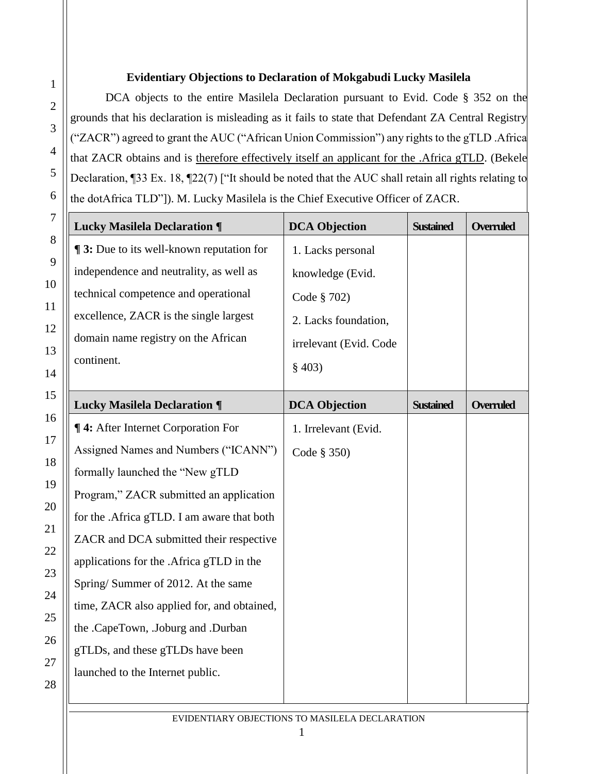## **Evidentiary Objections to Declaration of Mokgabudi Lucky Masilela**

DCA objects to the entire Masilela Declaration pursuant to Evid. Code § 352 on the grounds that his declaration is misleading as it fails to state that Defendant ZA Central Registry ("ZACR") agreed to grant the AUC ("African Union Commission") any rights to the gTLD .Africa that ZACR obtains and is therefore effectively itself an applicant for the .Africa gTLD. (Bekele Declaration, ¶33 Ex. 18, ¶22(7) ["It should be noted that the AUC shall retain all rights relating to the dotAfrica TLD"]). M. Lucky Masilela is the Chief Executive Officer of ZACR.

| <b>Lucky Masilela Declaration ¶</b>             | <b>DCA Objection</b>   | <b>Sustained</b> | <b>Overruled</b> |
|-------------------------------------------------|------------------------|------------------|------------------|
| <b>13:</b> Due to its well-known reputation for | 1. Lacks personal      |                  |                  |
| independence and neutrality, as well as         | knowledge (Evid.       |                  |                  |
| technical competence and operational            | Code § 702)            |                  |                  |
| excellence, ZACR is the single largest          | 2. Lacks foundation,   |                  |                  |
| domain name registry on the African             | irrelevant (Evid. Code |                  |                  |
| continent.                                      | § 403)                 |                  |                  |
| <b>Lucky Masilela Declaration ¶</b>             | <b>DCA Objection</b>   | <b>Sustained</b> | <b>Overruled</b> |
| <b>¶ 4:</b> After Internet Corporation For      | 1. Irrelevant (Evid.   |                  |                  |
| Assigned Names and Numbers ("ICANN")            | Code $\S$ 350)         |                  |                  |
| formally launched the "New gTLD                 |                        |                  |                  |
| Program," ZACR submitted an application         |                        |                  |                  |
| for the .Africa gTLD. I am aware that both      |                        |                  |                  |
| ZACR and DCA submitted their respective         |                        |                  |                  |
| applications for the .Africa gTLD in the        |                        |                  |                  |
| Spring/Summer of 2012. At the same              |                        |                  |                  |
| time, ZACR also applied for, and obtained,      |                        |                  |                  |
| the .CapeTown, .Joburg and .Durban              |                        |                  |                  |
| gTLDs, and these gTLDs have been                |                        |                  |                  |
| launched to the Internet public.                |                        |                  |                  |

1

2

3

4

5

6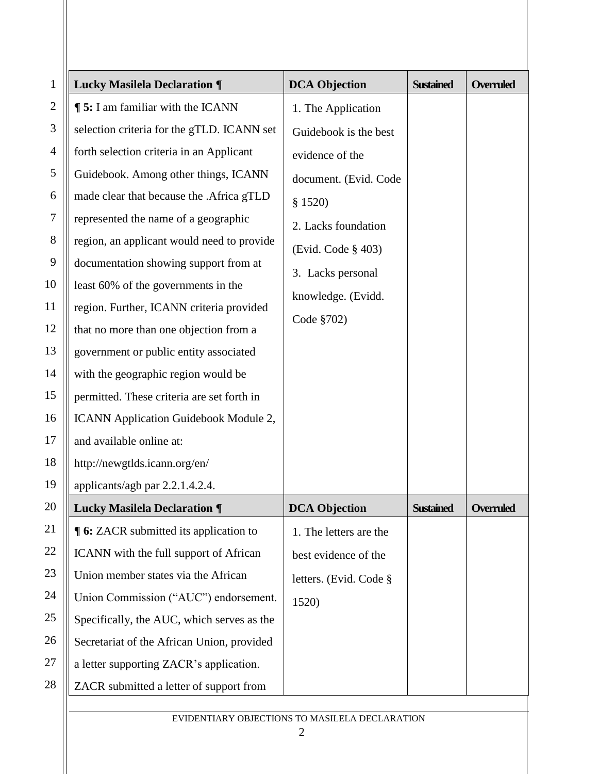| $\mathbf{1}$   | <b>Lucky Masilela Declaration ¶</b>           | <b>DCA Objection</b>   | <b>Sustained</b> | <b>Overruled</b> |
|----------------|-----------------------------------------------|------------------------|------------------|------------------|
| $\mathfrak{2}$ | <b>15:</b> I am familiar with the ICANN       | 1. The Application     |                  |                  |
| 3              | selection criteria for the gTLD. ICANN set    | Guidebook is the best  |                  |                  |
| 4              | forth selection criteria in an Applicant      | evidence of the        |                  |                  |
| 5              | Guidebook. Among other things, ICANN          | document. (Evid. Code  |                  |                  |
| 6              | made clear that because the .Africa gTLD      | \$1520)                |                  |                  |
| 7              | represented the name of a geographic          | 2. Lacks foundation    |                  |                  |
| 8              | region, an applicant would need to provide    | (Evid. Code § 403)     |                  |                  |
| 9              | documentation showing support from at         | 3. Lacks personal      |                  |                  |
| 10             | least 60% of the governments in the           | knowledge. (Evidd.     |                  |                  |
| 11             | region. Further, ICANN criteria provided      | Code §702)             |                  |                  |
| 12             | that no more than one objection from a        |                        |                  |                  |
| 13             | government or public entity associated        |                        |                  |                  |
| 14             | with the geographic region would be           |                        |                  |                  |
| 15             | permitted. These criteria are set forth in    |                        |                  |                  |
| 16             | ICANN Application Guidebook Module 2,         |                        |                  |                  |
| 17             | and available online at:                      |                        |                  |                  |
| 18             | http://newgtlds.icann.org/en/                 |                        |                  |                  |
| 19             | applicants/agb par 2.2.1.4.2.4.               |                        |                  |                  |
| 20             | <b>Lucky Masilela Declaration ¶</b>           | <b>DCA Objection</b>   | <b>Sustained</b> | <b>Overruled</b> |
| 21             | <b>¶ 6:</b> ZACR submitted its application to | 1. The letters are the |                  |                  |
| 22             | ICANN with the full support of African        | best evidence of the   |                  |                  |
| 23             | Union member states via the African           | letters. (Evid. Code § |                  |                  |
| 24             | Union Commission ("AUC") endorsement.         | 1520)                  |                  |                  |
| 25             | Specifically, the AUC, which serves as the    |                        |                  |                  |
| 26             | Secretariat of the African Union, provided    |                        |                  |                  |
| 27             | a letter supporting ZACR's application.       |                        |                  |                  |
| 28             | ZACR submitted a letter of support from       |                        |                  |                  |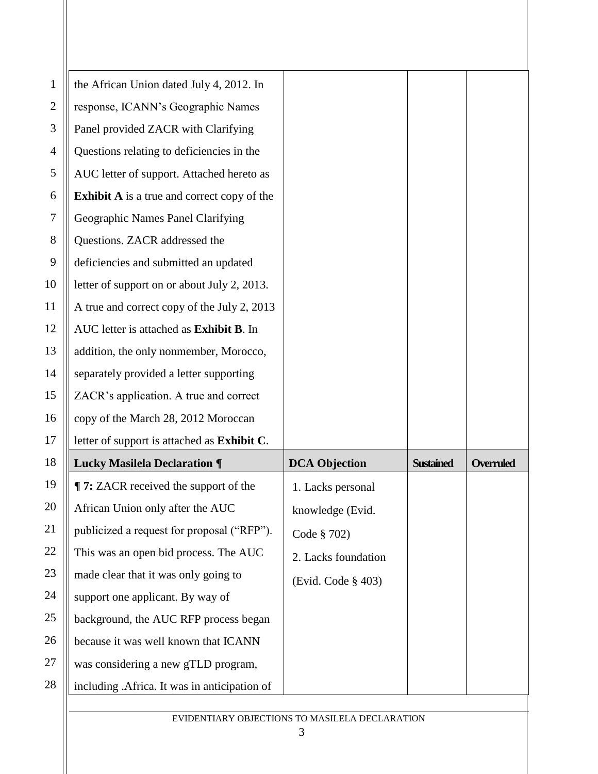| 1              | the African Union dated July 4, 2012. In           |                      |                  |                  |
|----------------|----------------------------------------------------|----------------------|------------------|------------------|
| $\overline{2}$ | response, ICANN's Geographic Names                 |                      |                  |                  |
| 3              | Panel provided ZACR with Clarifying                |                      |                  |                  |
| 4              | Questions relating to deficiencies in the          |                      |                  |                  |
| 5              | AUC letter of support. Attached hereto as          |                      |                  |                  |
| 6              | <b>Exhibit A</b> is a true and correct copy of the |                      |                  |                  |
| 7              | Geographic Names Panel Clarifying                  |                      |                  |                  |
| 8              | Questions. ZACR addressed the                      |                      |                  |                  |
| 9              | deficiencies and submitted an updated              |                      |                  |                  |
| 10             | letter of support on or about July 2, 2013.        |                      |                  |                  |
| 11             | A true and correct copy of the July 2, 2013        |                      |                  |                  |
| 12             | AUC letter is attached as Exhibit B. In            |                      |                  |                  |
| 13             | addition, the only nonmember, Morocco,             |                      |                  |                  |
| 14             | separately provided a letter supporting            |                      |                  |                  |
| 15             | ZACR's application. A true and correct             |                      |                  |                  |
| 16             | copy of the March 28, 2012 Moroccan                |                      |                  |                  |
| 17             | letter of support is attached as Exhibit C.        |                      |                  |                  |
| 18             | <b>Lucky Masilela Declaration ¶</b>                | <b>DCA Objection</b> | <b>Sustained</b> | <b>Overruled</b> |
| 19             | ¶ 7: ZACR received the support of the              | 1. Lacks personal    |                  |                  |
| 20             | African Union only after the AUC                   | knowledge (Evid.     |                  |                  |
| 21             | publicized a request for proposal ("RFP").         | Code § 702)          |                  |                  |
| 22             | This was an open bid process. The AUC              | 2. Lacks foundation  |                  |                  |
| 23             | made clear that it was only going to               | (Evid. Code § 403)   |                  |                  |
| 24             | support one applicant. By way of                   |                      |                  |                  |
| 25             | background, the AUC RFP process began              |                      |                  |                  |
| 26             | because it was well known that ICANN               |                      |                  |                  |
| 27             | was considering a new gTLD program,                |                      |                  |                  |
| 28             | including .Africa. It was in anticipation of       |                      |                  |                  |
|                |                                                    |                      |                  |                  |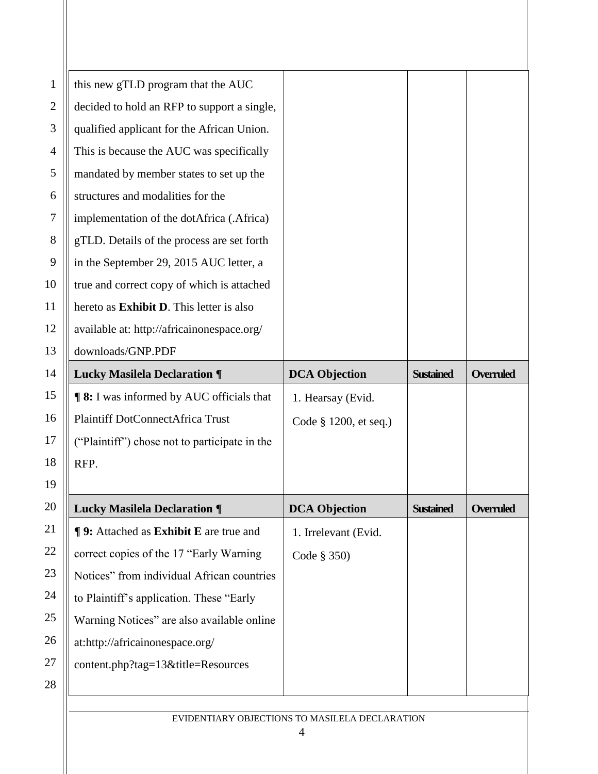| $\mathbf{1}$   | this new gTLD program that the AUC                    |                       |                  |                  |
|----------------|-------------------------------------------------------|-----------------------|------------------|------------------|
| $\mathfrak{2}$ | decided to hold an RFP to support a single,           |                       |                  |                  |
| 3              | qualified applicant for the African Union.            |                       |                  |                  |
| 4              | This is because the AUC was specifically              |                       |                  |                  |
| 5              | mandated by member states to set up the               |                       |                  |                  |
| 6              | structures and modalities for the                     |                       |                  |                  |
| 7              | implementation of the dotAfrica (.Africa)             |                       |                  |                  |
| 8              | gTLD. Details of the process are set forth            |                       |                  |                  |
| 9              | in the September 29, 2015 AUC letter, a               |                       |                  |                  |
| 10             | true and correct copy of which is attached            |                       |                  |                  |
| 11             | hereto as <b>Exhibit D</b> . This letter is also      |                       |                  |                  |
| 12             | available at: http://africainonespace.org/            |                       |                  |                  |
| 13             | downloads/GNP.PDF                                     |                       |                  |                  |
| 14             | <b>Lucky Masilela Declaration ¶</b>                   | <b>DCA Objection</b>  | <b>Sustained</b> | <b>Overruled</b> |
| 15             | <b>98:</b> I was informed by AUC officials that       | 1. Hearsay (Evid.     |                  |                  |
| 16             | Plaintiff DotConnectAfrica Trust                      | Code § 1200, et seq.) |                  |                  |
| 17             | ("Plaintiff") chose not to participate in the         |                       |                  |                  |
| 18             | RFP.                                                  |                       |                  |                  |
| 19             |                                                       |                       |                  |                  |
| 20             | <b>Lucky Masilela Declaration ¶</b>                   | <b>DCA Objection</b>  | <b>Sustained</b> | <b>Overruled</b> |
| 21             | <b>¶ 9:</b> Attached as <b>Exhibit E</b> are true and | 1. Irrelevant (Evid.  |                  |                  |
| 22             | correct copies of the 17 "Early Warning               | Code § 350)           |                  |                  |
| 23             | Notices" from individual African countries            |                       |                  |                  |
| 24             |                                                       |                       |                  |                  |
|                | to Plaintiff's application. These "Early              |                       |                  |                  |
| 25             | Warning Notices" are also available online            |                       |                  |                  |
| 26             | at:http://africainonespace.org/                       |                       |                  |                  |
| 27             | content.php?tag=13&title=Resources                    |                       |                  |                  |
| 28             |                                                       |                       |                  |                  |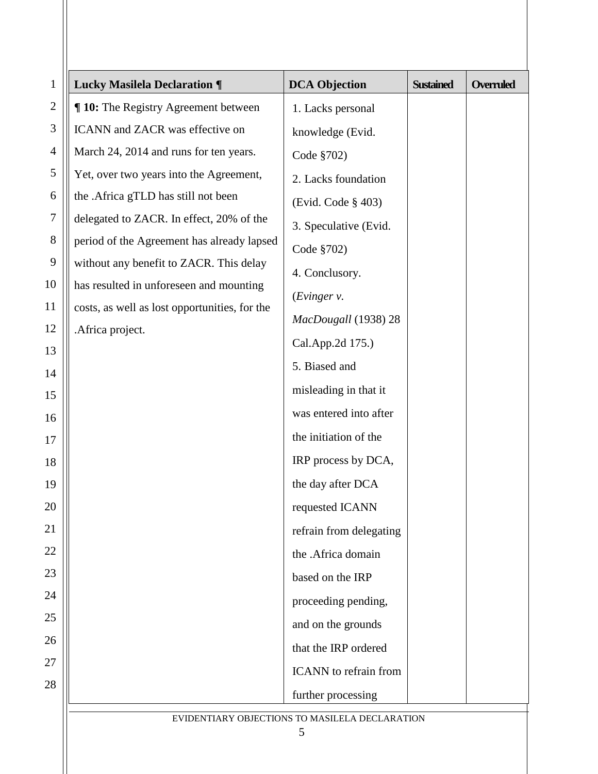| $\mathbf{1}$   | <b>Lucky Masilela Declaration ¶</b>           | <b>DCA</b> Objection                           | <b>Sustained</b> | <b>Overruled</b> |
|----------------|-----------------------------------------------|------------------------------------------------|------------------|------------------|
| $\mathbf{2}$   | ¶ 10: The Registry Agreement between          | 1. Lacks personal                              |                  |                  |
| 3              | ICANN and ZACR was effective on               | knowledge (Evid.                               |                  |                  |
| $\overline{4}$ | March 24, 2014 and runs for ten years.        | Code §702)                                     |                  |                  |
| 5              | Yet, over two years into the Agreement,       | 2. Lacks foundation                            |                  |                  |
| 6              | the .Africa gTLD has still not been           | (Evid. Code § 403)                             |                  |                  |
| $\tau$         | delegated to ZACR. In effect, 20% of the      | 3. Speculative (Evid.                          |                  |                  |
| $8\,$          | period of the Agreement has already lapsed    | Code §702)                                     |                  |                  |
| 9              | without any benefit to ZACR. This delay       | 4. Conclusory.                                 |                  |                  |
| 10             | has resulted in unforeseen and mounting       | (Evinger v.                                    |                  |                  |
| 11             | costs, as well as lost opportunities, for the | MacDougall (1938) 28                           |                  |                  |
| 12<br>13       | .Africa project.                              | Cal.App.2d 175.)                               |                  |                  |
| 14             |                                               | 5. Biased and                                  |                  |                  |
| 15             |                                               | misleading in that it                          |                  |                  |
| 16             |                                               | was entered into after                         |                  |                  |
| 17             |                                               | the initiation of the                          |                  |                  |
| 18             |                                               | IRP process by DCA,                            |                  |                  |
| 19             |                                               | the day after DCA                              |                  |                  |
| 20             |                                               | requested ICANN                                |                  |                  |
| 21             |                                               | refrain from delegating                        |                  |                  |
| 22             |                                               | the .Africa domain                             |                  |                  |
| 23             |                                               | based on the IRP                               |                  |                  |
| 24             |                                               | proceeding pending,                            |                  |                  |
| 25             |                                               | and on the grounds                             |                  |                  |
| 26             |                                               | that the IRP ordered                           |                  |                  |
| 27             |                                               | ICANN to refrain from                          |                  |                  |
| 28             |                                               | further processing                             |                  |                  |
|                |                                               | EVIDENTIARY OBJECTIONS TO MASILELA DECLARATION |                  |                  |
|                |                                               | 5                                              |                  |                  |

Ш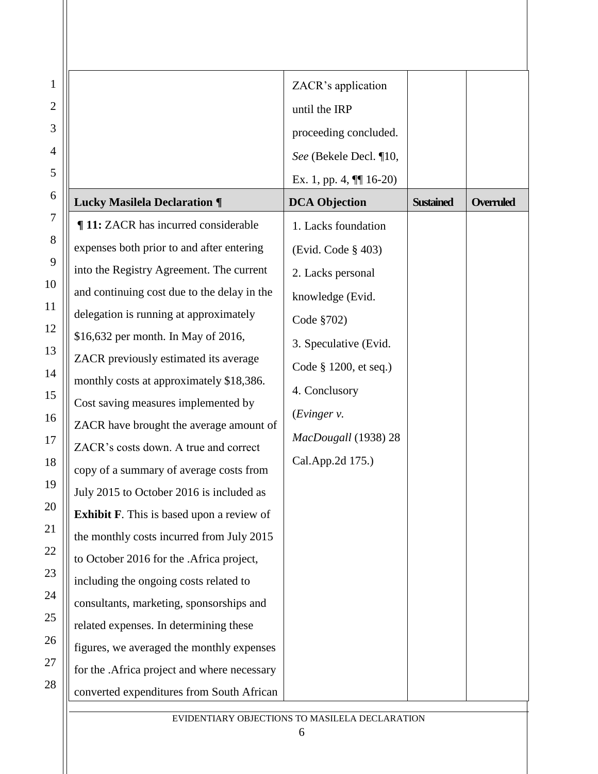|                                                  | ZACR's application        |                  |           |
|--------------------------------------------------|---------------------------|------------------|-----------|
|                                                  | until the IRP             |                  |           |
|                                                  | proceeding concluded.     |                  |           |
|                                                  | See (Bekele Decl. ¶10,    |                  |           |
|                                                  | Ex. 1, pp. 4, $\P$ 16-20) |                  |           |
| <b>Lucky Masilela Declaration ¶</b>              | <b>DCA Objection</b>      | <b>Sustained</b> | Overruled |
| 11: ZACR has incurred considerable               | 1. Lacks foundation       |                  |           |
| expenses both prior to and after entering        | (Evid. Code § 403)        |                  |           |
| into the Registry Agreement. The current         | 2. Lacks personal         |                  |           |
| and continuing cost due to the delay in the      | knowledge (Evid.          |                  |           |
| delegation is running at approximately           | Code §702)                |                  |           |
| \$16,632 per month. In May of 2016,              | 3. Speculative (Evid.     |                  |           |
| ZACR previously estimated its average            | Code § 1200, et seq.)     |                  |           |
| monthly costs at approximately \$18,386.         |                           |                  |           |
| Cost saving measures implemented by              | 4. Conclusory             |                  |           |
| ZACR have brought the average amount of          | (Evinger v.               |                  |           |
| ZACR's costs down. A true and correct            | MacDougall (1938) 28      |                  |           |
| copy of a summary of average costs from          | Cal.App.2d 175.)          |                  |           |
| July 2015 to October 2016 is included as         |                           |                  |           |
| <b>Exhibit F.</b> This is based upon a review of |                           |                  |           |
| the monthly costs incurred from July 2015        |                           |                  |           |
| to October 2016 for the .Africa project,         |                           |                  |           |
| including the ongoing costs related to           |                           |                  |           |
| consultants, marketing, sponsorships and         |                           |                  |           |
| related expenses. In determining these           |                           |                  |           |
| figures, we averaged the monthly expenses        |                           |                  |           |
| for the .Africa project and where necessary      |                           |                  |           |
| converted expenditures from South African        |                           |                  |           |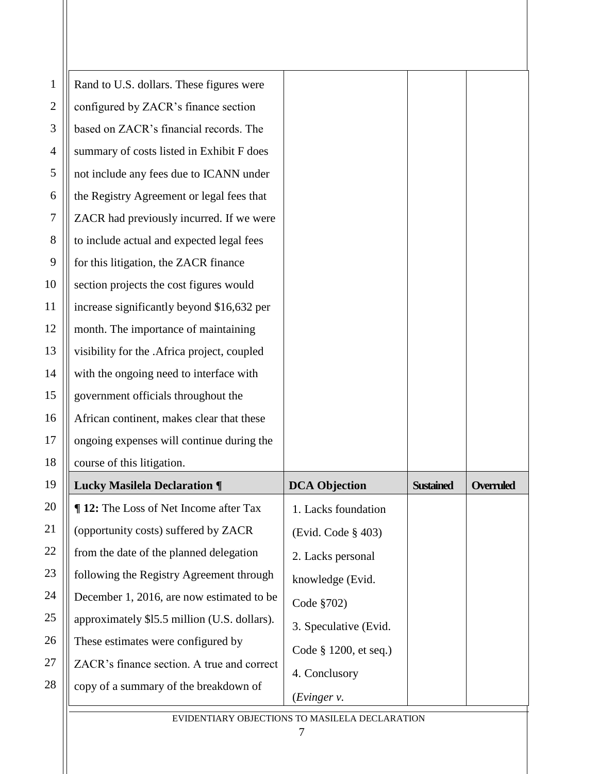| $\mathbf{1}$   | Rand to U.S. dollars. These figures were      |                                                 |                  |                  |
|----------------|-----------------------------------------------|-------------------------------------------------|------------------|------------------|
| $\mathbf{2}$   | configured by ZACR's finance section          |                                                 |                  |                  |
| 3              | based on ZACR's financial records. The        |                                                 |                  |                  |
| 4              | summary of costs listed in Exhibit F does     |                                                 |                  |                  |
| 5              | not include any fees due to ICANN under       |                                                 |                  |                  |
| 6              | the Registry Agreement or legal fees that     |                                                 |                  |                  |
| 7              | ZACR had previously incurred. If we were      |                                                 |                  |                  |
| 8              | to include actual and expected legal fees     |                                                 |                  |                  |
| 9              | for this litigation, the ZACR finance         |                                                 |                  |                  |
| $\overline{0}$ | section projects the cost figures would       |                                                 |                  |                  |
| $\overline{1}$ | increase significantly beyond \$16,632 per    |                                                 |                  |                  |
| $\overline{2}$ | month. The importance of maintaining          |                                                 |                  |                  |
| 13             | visibility for the .Africa project, coupled   |                                                 |                  |                  |
| $\overline{4}$ | with the ongoing need to interface with       |                                                 |                  |                  |
| 5              | government officials throughout the           |                                                 |                  |                  |
| l6             | African continent, makes clear that these     |                                                 |                  |                  |
| $\overline{7}$ | ongoing expenses will continue during the     |                                                 |                  |                  |
| $\sqrt{8}$     | course of this litigation.                    |                                                 |                  |                  |
| 19             | <b>Lucky Masilela Declaration ¶</b>           | <b>DCA Objection</b>                            | <b>Sustained</b> | <b>Overruled</b> |
| $20\,$         | <b>¶ 12:</b> The Loss of Net Income after Tax | 1. Lacks foundation                             |                  |                  |
| 21             | (opportunity costs) suffered by ZACR          | (Evid. Code § 403)                              |                  |                  |
| $^{22}$        | from the date of the planned delegation       | 2. Lacks personal                               |                  |                  |
| $^{23}$        | following the Registry Agreement through      | knowledge (Evid.                                |                  |                  |
| 24             | December 1, 2016, are now estimated to be     | Code §702)                                      |                  |                  |
| $25\text{ }$   | approximately \$15.5 million (U.S. dollars).  | 3. Speculative (Evid.                           |                  |                  |
| $26 \,$        | These estimates were configured by            | Code § 1200, et seq.)                           |                  |                  |
| 27             | ZACR's finance section. A true and correct    | 4. Conclusory                                   |                  |                  |
| $^{28}$        | copy of a summary of the breakdown of         | (Evinger v.                                     |                  |                  |
|                |                                               | EVIDENTIA DV ODIECTIONS TO MASH ELA DECLARATION |                  |                  |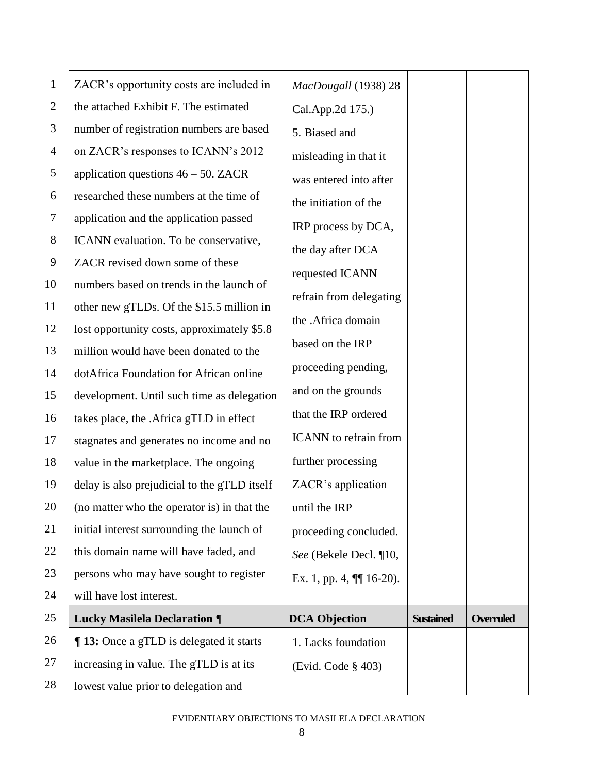| $\mathbf{1}$   | ZACR's opportunity costs are included in     | MacDougall (1938) 28         |                  |                  |
|----------------|----------------------------------------------|------------------------------|------------------|------------------|
| $\overline{2}$ | the attached Exhibit F. The estimated        | Cal.App.2d 175.)             |                  |                  |
| 3              | number of registration numbers are based     | 5. Biased and                |                  |                  |
| 4              | on ZACR's responses to ICANN's 2012          | misleading in that it        |                  |                  |
| 5              | application questions $46 - 50$ . ZACR       | was entered into after       |                  |                  |
| 6              | researched these numbers at the time of      | the initiation of the        |                  |                  |
| 7              | application and the application passed       | IRP process by DCA,          |                  |                  |
| 8              | ICANN evaluation. To be conservative,        | the day after DCA            |                  |                  |
| 9              | ZACR revised down some of these              | requested ICANN              |                  |                  |
| 10             | numbers based on trends in the launch of     |                              |                  |                  |
| 11             | other new gTLDs. Of the \$15.5 million in    | refrain from delegating      |                  |                  |
| 12             | lost opportunity costs, approximately \$5.8  | the .Africa domain           |                  |                  |
| 13             | million would have been donated to the       | based on the IRP             |                  |                  |
| 14             | dotAfrica Foundation for African online      | proceeding pending,          |                  |                  |
| 15             | development. Until such time as delegation   | and on the grounds           |                  |                  |
| 16             | takes place, the .Africa gTLD in effect      | that the IRP ordered         |                  |                  |
| 17             | stagnates and generates no income and no     | <b>ICANN</b> to refrain from |                  |                  |
| 18             | value in the marketplace. The ongoing        | further processing           |                  |                  |
| 19             | delay is also prejudicial to the gTLD itself | ZACR's application           |                  |                  |
| 20             | (no matter who the operator is) in that the  | until the IRP                |                  |                  |
| 21             | initial interest surrounding the launch of   | proceeding concluded.        |                  |                  |
| 22             | this domain name will have faded, and        | See (Bekele Decl. ¶10,       |                  |                  |
| 23             | persons who may have sought to register      | Ex. 1, pp. 4, $\P$ 16-20).   |                  |                  |
| 24             | will have lost interest.                     |                              |                  |                  |
| 25             | <b>Lucky Masilela Declaration ¶</b>          | <b>DCA Objection</b>         | <b>Sustained</b> | <b>Overruled</b> |
| 26             | ¶ 13: Once a gTLD is delegated it starts     | 1. Lacks foundation          |                  |                  |
| 27             | increasing in value. The gTLD is at its      | (Evid. Code § 403)           |                  |                  |
| 28             | lowest value prior to delegation and         |                              |                  |                  |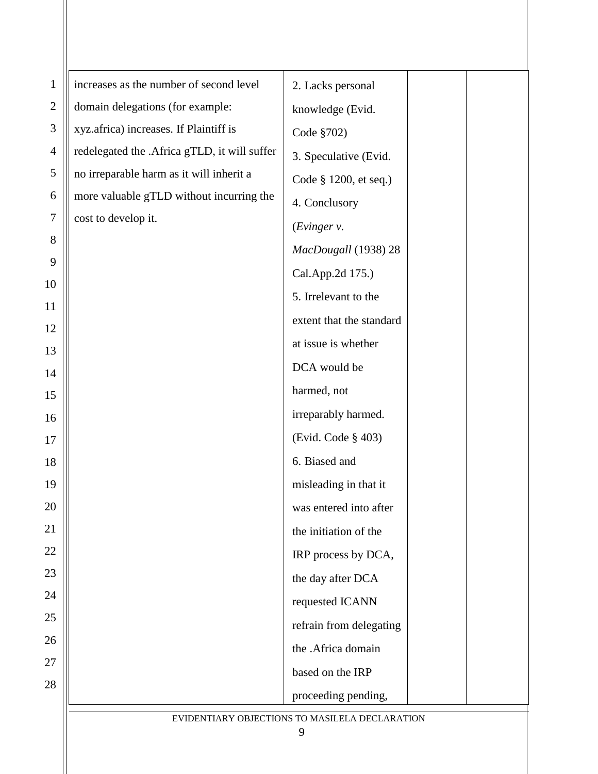| $\mathbf{1}$ | increases as the number of second level      | 2. Lacks personal                              |
|--------------|----------------------------------------------|------------------------------------------------|
| $\mathbf{2}$ | domain delegations (for example:             | knowledge (Evid.                               |
| 3            | xyz.africa) increases. If Plaintiff is       | Code §702)                                     |
| 4            | redelegated the .Africa gTLD, it will suffer | 3. Speculative (Evid.                          |
| 5            | no irreparable harm as it will inherit a     | Code § 1200, et seq.)                          |
| 6            | more valuable gTLD without incurring the     | 4. Conclusory                                  |
| 7            | cost to develop it.                          | (Evinger v.                                    |
| 8            |                                              | MacDougall (1938) 28                           |
| 9            |                                              | Cal.App.2d 175.)                               |
| 10           |                                              | 5. Irrelevant to the                           |
| 11           |                                              | extent that the standard                       |
| 12<br>13     |                                              | at issue is whether                            |
| 14           |                                              | DCA would be                                   |
| 15           |                                              | harmed, not                                    |
| 16           |                                              | irreparably harmed.                            |
| 17           |                                              | (Evid. Code § 403)                             |
| 18           |                                              | 6. Biased and                                  |
| 19           |                                              | misleading in that it                          |
| 20           |                                              | was entered into after                         |
| 21           |                                              | the initiation of the                          |
| 22           |                                              | IRP process by DCA,                            |
| 23           |                                              | the day after DCA                              |
| 24           |                                              | requested ICANN                                |
| 25           |                                              | refrain from delegating                        |
| 26           |                                              | the .Africa domain                             |
| 27           |                                              | based on the IRP                               |
| 28           |                                              | proceeding pending,                            |
|              |                                              | EVIDENTIARY OBJECTIONS TO MASILELA DECLARATION |
|              |                                              | 9                                              |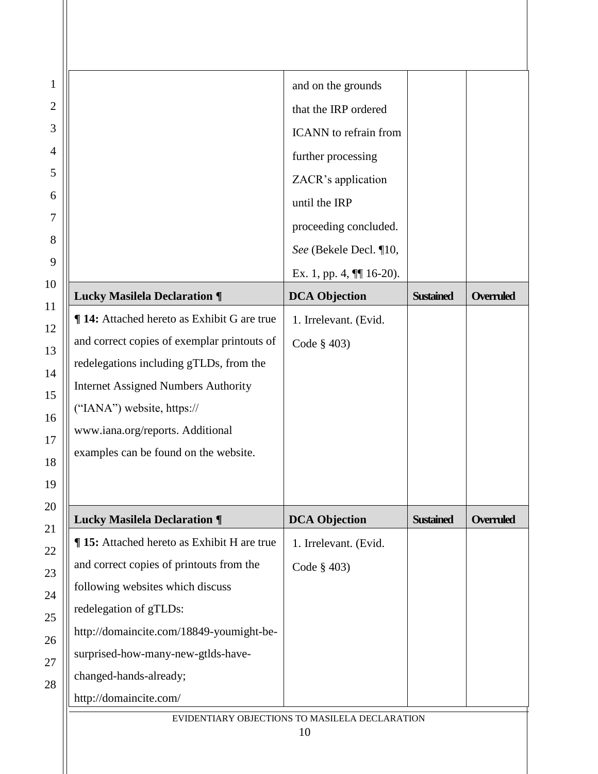|                                             | and on the grounds           |                  |                  |
|---------------------------------------------|------------------------------|------------------|------------------|
|                                             | that the IRP ordered         |                  |                  |
|                                             | <b>ICANN</b> to refrain from |                  |                  |
|                                             | further processing           |                  |                  |
|                                             | ZACR's application           |                  |                  |
|                                             | until the IRP                |                  |                  |
|                                             | proceeding concluded.        |                  |                  |
|                                             | See (Bekele Decl. ¶10,       |                  |                  |
|                                             | Ex. 1, pp. 4, $\P$ 16-20).   |                  |                  |
| <b>Lucky Masilela Declaration ¶</b>         | <b>DCA Objection</b>         | <b>Sustained</b> | <b>Overruled</b> |
| ¶ 14: Attached hereto as Exhibit G are true | 1. Irrelevant. (Evid.        |                  |                  |
| and correct copies of exemplar printouts of | Code $§$ 403)                |                  |                  |
| redelegations including gTLDs, from the     |                              |                  |                  |
| <b>Internet Assigned Numbers Authority</b>  |                              |                  |                  |
| ("IANA") website, https://                  |                              |                  |                  |
| www.iana.org/reports. Additional            |                              |                  |                  |
| examples can be found on the website.       |                              |                  |                  |
|                                             |                              |                  |                  |
|                                             |                              |                  |                  |
| <b>Lucky Masilela Declaration ¶</b>         | <b>DCA Objection</b>         | <b>Sustained</b> |                  |
| ¶ 15: Attached hereto as Exhibit H are true | 1. Irrelevant. (Evid.        |                  |                  |
| and correct copies of printouts from the    | Code $§$ 403)                |                  |                  |
| following websites which discuss            |                              |                  |                  |
| redelegation of gTLDs:                      |                              |                  |                  |
| http://domaincite.com/18849-youmight-be-    |                              |                  |                  |
| surprised-how-many-new-gtlds-have-          |                              |                  |                  |
| changed-hands-already;                      |                              |                  |                  |
| http://domaincite.com/                      |                              |                  | <b>Overruled</b> |

 $\mathsf{I}$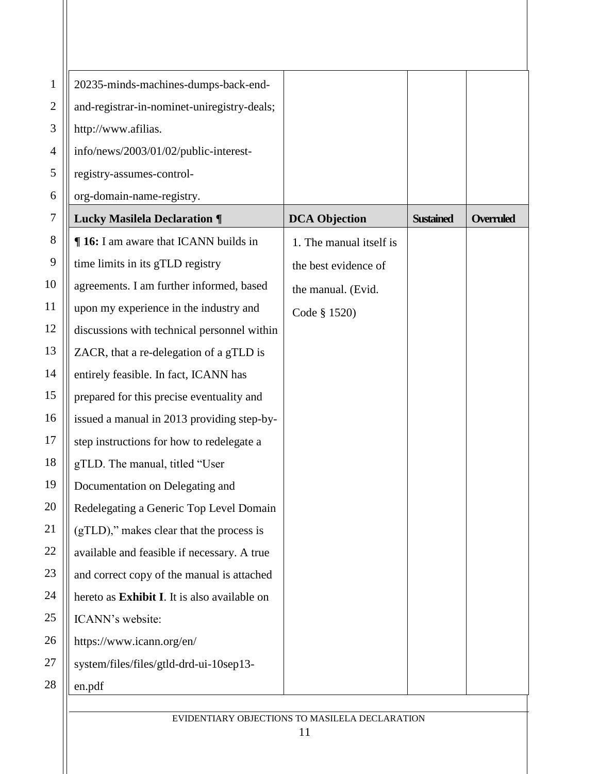| 1                | 20235-minds-machines-dumps-back-end-         |                         |                  |                  |
|------------------|----------------------------------------------|-------------------------|------------------|------------------|
| $\mathbf{2}$     | and-registrar-in-nominet-uniregistry-deals;  |                         |                  |                  |
| 3                | http://www.afilias.                          |                         |                  |                  |
| 4                | info/news/2003/01/02/public-interest-        |                         |                  |                  |
| 5                | registry-assumes-control-                    |                         |                  |                  |
| 6                | org-domain-name-registry.                    |                         |                  |                  |
| 7                | <b>Lucky Masilela Declaration ¶</b>          | <b>DCA Objection</b>    | <b>Sustained</b> | <b>Overruled</b> |
| 8                | <b>16:</b> I am aware that ICANN builds in   | 1. The manual itself is |                  |                  |
| $\boldsymbol{9}$ | time limits in its gTLD registry             | the best evidence of    |                  |                  |
| 10               | agreements. I am further informed, based     | the manual. (Evid.      |                  |                  |
| 11               | upon my experience in the industry and       | Code § 1520)            |                  |                  |
| 12               | discussions with technical personnel within  |                         |                  |                  |
| 13               | ZACR, that a re-delegation of a gTLD is      |                         |                  |                  |
| 14               | entirely feasible. In fact, ICANN has        |                         |                  |                  |
| 15               | prepared for this precise eventuality and    |                         |                  |                  |
| 16               | issued a manual in 2013 providing step-by-   |                         |                  |                  |
| 17               | step instructions for how to redelegate a    |                         |                  |                  |
| 18               | gTLD. The manual, titled "User               |                         |                  |                  |
| 19               | Documentation on Delegating and              |                         |                  |                  |
| 20               | Redelegating a Generic Top Level Domain      |                         |                  |                  |
| 21               | (gTLD)," makes clear that the process is     |                         |                  |                  |
| 22               | available and feasible if necessary. A true  |                         |                  |                  |
| 23               | and correct copy of the manual is attached   |                         |                  |                  |
| 24               | hereto as Exhibit I. It is also available on |                         |                  |                  |
| 25               | ICANN's website:                             |                         |                  |                  |
| 26               | https://www.icann.org/en/                    |                         |                  |                  |
| 27               | system/files/files/gtld-drd-ui-10sep13-      |                         |                  |                  |
| 28               | en.pdf                                       |                         |                  |                  |
|                  |                                              |                         |                  |                  |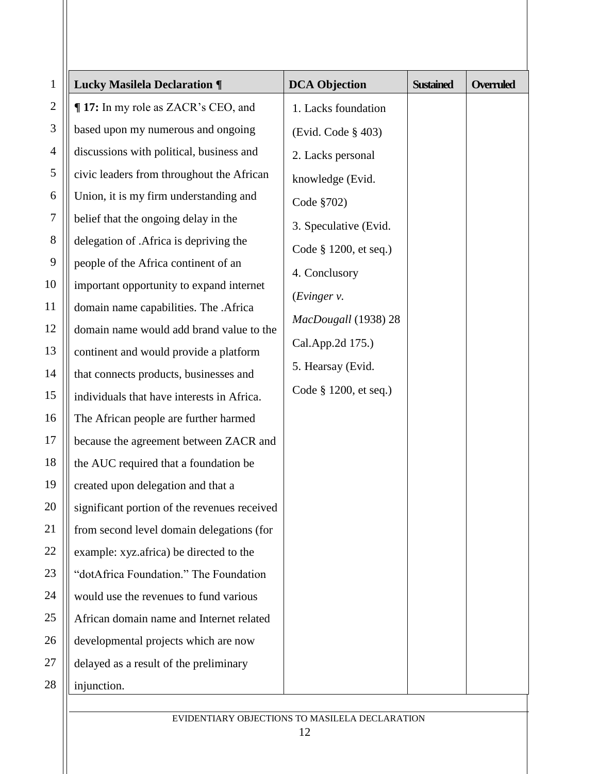| $\mathbf{1}$     | <b>Lucky Masilela Declaration ¶</b>          | <b>DCA</b> Objection  | <b>Sustained</b> | Overruled |
|------------------|----------------------------------------------|-----------------------|------------------|-----------|
| $\overline{c}$   | ¶ 17: In my role as ZACR's CEO, and          | 1. Lacks foundation   |                  |           |
| 3                | based upon my numerous and ongoing           | (Evid. Code § 403)    |                  |           |
| 4                | discussions with political, business and     | 2. Lacks personal     |                  |           |
| 5                | civic leaders from throughout the African    | knowledge (Evid.      |                  |           |
| 6                | Union, it is my firm understanding and       | Code §702)            |                  |           |
| $\boldsymbol{7}$ | belief that the ongoing delay in the         | 3. Speculative (Evid. |                  |           |
| 8                | delegation of .Africa is depriving the       | Code § 1200, et seq.) |                  |           |
| 9                | people of the Africa continent of an         | 4. Conclusory         |                  |           |
| 10               | important opportunity to expand internet     | (Evinger v.           |                  |           |
| 11               | domain name capabilities. The .Africa        | MacDougall (1938) 28  |                  |           |
| 12               | domain name would add brand value to the     |                       |                  |           |
| 13               | continent and would provide a platform       | Cal.App.2d 175.)      |                  |           |
| 14               | that connects products, businesses and       | 5. Hearsay (Evid.     |                  |           |
| 15               | individuals that have interests in Africa.   | Code § 1200, et seq.) |                  |           |
| 16               | The African people are further harmed        |                       |                  |           |
| 17               | because the agreement between ZACR and       |                       |                  |           |
| 18               | the AUC required that a foundation be        |                       |                  |           |
| 19               | created upon delegation and that a           |                       |                  |           |
| 20               | significant portion of the revenues received |                       |                  |           |
| 21               | from second level domain delegations (for    |                       |                  |           |
| 22               | example: xyz.africa) be directed to the      |                       |                  |           |
| 23               | "dotAfrica Foundation." The Foundation       |                       |                  |           |
| 24               | would use the revenues to fund various       |                       |                  |           |
| 25               | African domain name and Internet related     |                       |                  |           |
| 26               | developmental projects which are now         |                       |                  |           |
| 27               | delayed as a result of the preliminary       |                       |                  |           |
| 28               | injunction.                                  |                       |                  |           |